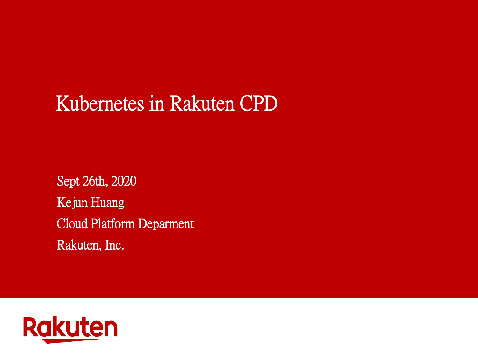# Kubernetes in Rakuten CPD

Sept 26th, 2020 Kejun Huang Cloud Platform Deparment Rakuten, Inc.

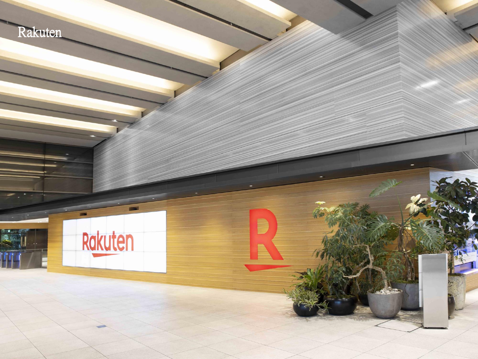

**Card** 

B

Ξ

Rakuten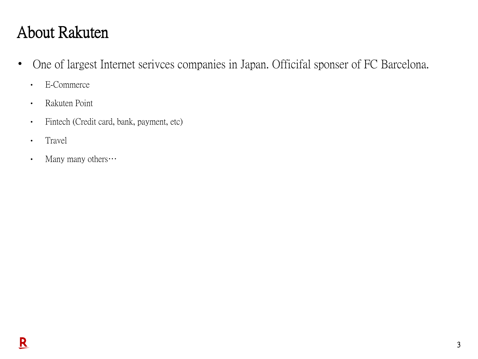# About Rakuten

- One of largest Internet serivces companies in Japan. Officifal sponser of FC Barcelona.
	- E-Commerce
	- Rakuten Point
	- Fintech (Credit card, bank, payment, etc)
	- Travel
	- Many many others •••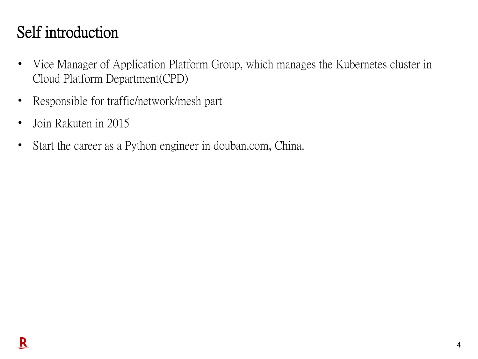### Self introduction

- Vice Manager of Application Platform Group, which manages the Kubernetes cluster in Cloud Platform Department(CPD)
- Responsible for traffic/network/mesh part
- Join Rakuten in 2015
- Start the career as a Python engineer in douban.com, China.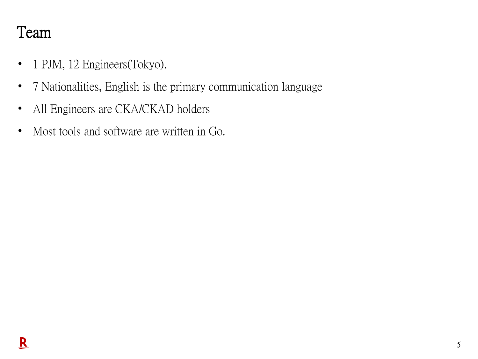#### Team

- 1 PJM, 12 Engineers(Tokyo).
- 7 Nationalities, English is the primary communication language
- All Engineers are CKA/CKAD holders
- Most tools and software are written in Go.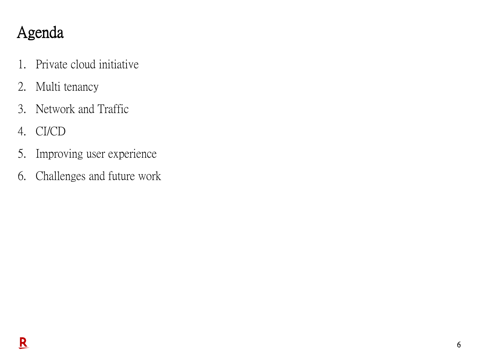# Agenda

- 1. Private cloud initiative
- 2. Multi tenancy
- 3. Network and Traffic
- 4. CI/CD
- 5. Improving user experience
- 6. Challenges and future work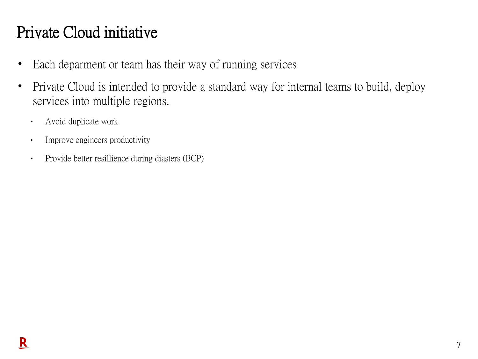## Private Cloud initiative

- Each deparment or team has their way of running services
- Private Cloud is intended to provide a standard way for internal teams to build, deploy services into multiple regions.
	- Avoid duplicate work
	- Improve engineers productivity
	- Provide better resillience during diasters (BCP)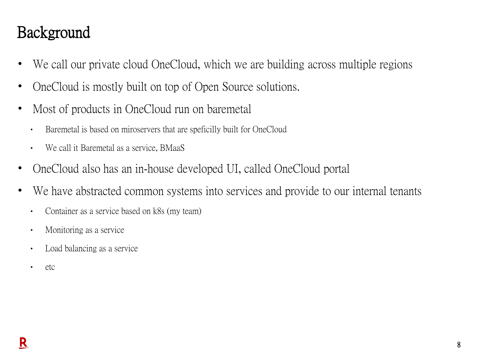#### Background

- We call our private cloud OneCloud, which we are building across multiple regions
- OneCloud is mostly built on top of Open Source solutions.
- Most of products in OneCloud run on baremetal
	- Baremetal is based on miroservers that are speficilly built for OneCloud
	- We call it Baremetal as a service, BMaaS
- OneCloud also has an in-house developed UI, called OneCloud portal
- We have abstracted common systems into services and provide to our internal tenants
	- Container as a service based on k8s (my team)
	- Monitoring as a service
	- Load balancing as a service
	- etc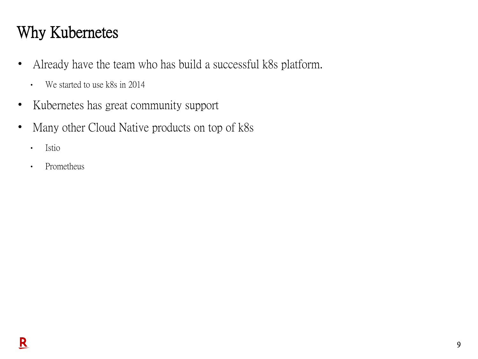## Why Kubernetes

- Already have the team who has build a successful k8s platform.
	- We started to use k8s in 2014
- Kubernetes has great community support
- Many other Cloud Native products on top of k8s
	- Istio
	- Prometheus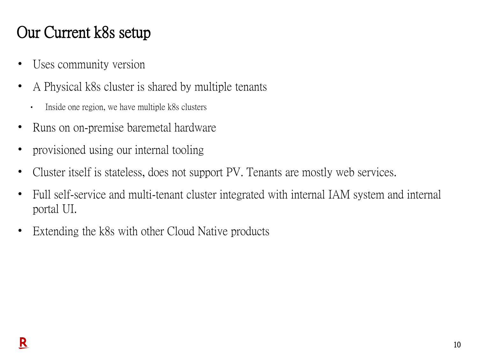### Our Current k8s setup

- Uses community version
- A Physical k8s cluster is shared by multiple tenants
	- Inside one region, we have multiple k8s clusters
- Runs on on-premise baremetal hardware
- provisioned using our internal tooling
- Cluster itself is stateless, does not support PV. Tenants are mostly web services.
- Full self-service and multi-tenant cluster integrated with internal IAM system and internal portal UI.
- Extending the k8s with other Cloud Native products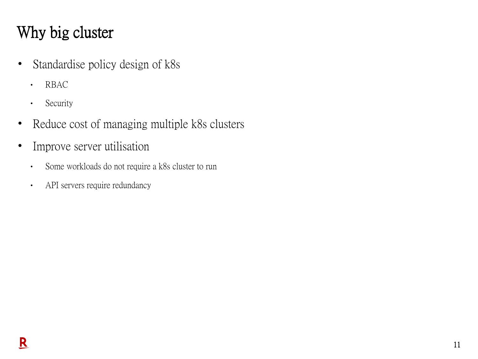# Why big cluster

- Standardise policy design of k8s
	- RBAC
	- Security
- Reduce cost of managing multiple k8s clusters
- Improve server utilisation
	- Some workloads do not require a k8s cluster to run
	- API servers require redundancy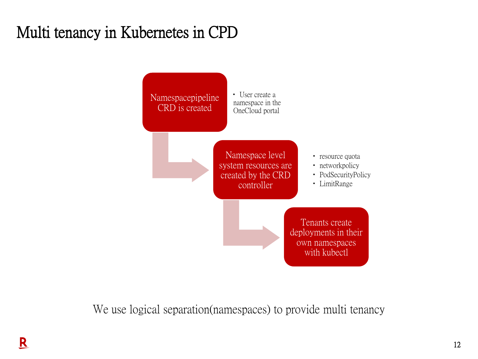# Multi tenancy in Kubernetes in CPD



We use logical separation(namespaces) to provide multi tenancy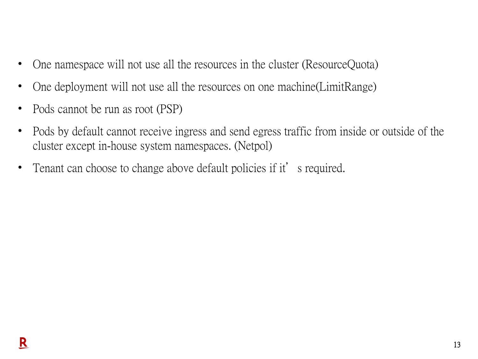- One namespace will not use all the resources in the cluster (ResourceQuota)
- One deployment will not use all the resources on one machine (LimitRange)
- Pods cannot be run as root (PSP)
- Pods by default cannot receive ingress and send egress traffic from inside or outside of the cluster except in-house system namespaces. (Netpol)
- Tenant can choose to change above default policies if it's required.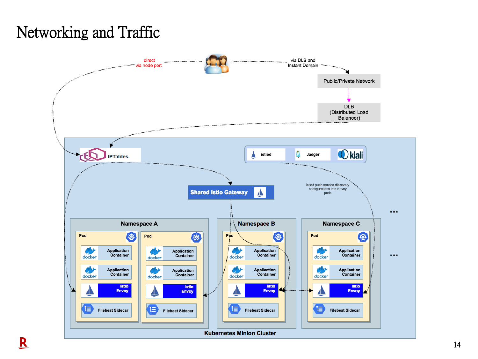# Networking and Traffic

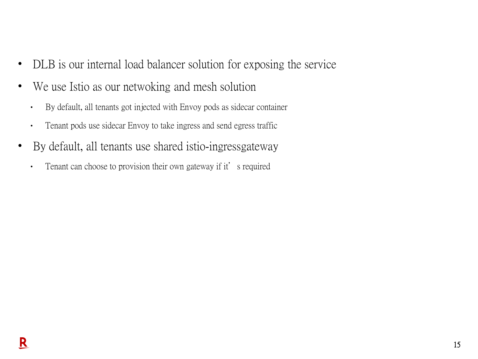- DLB is our internal load balancer solution for exposing the service
- We use Istio as our netwoking and mesh solution
	- By default, all tenants got injected with Envoy pods as sidecar container
	- Tenant pods use sidecar Envoy to take ingress and send egress traffic
- By default, all tenants use shared istio-ingressgateway
	- Tenant can choose to provision their own gateway if it's required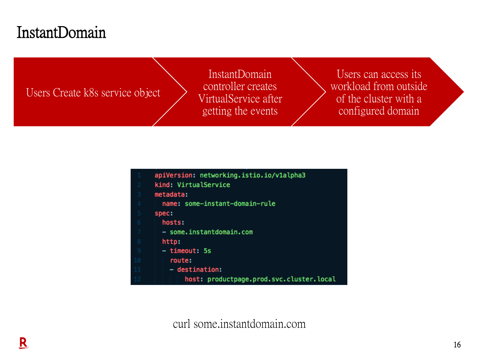#### InstantDomain

Users Create k8s service object

InstantDomain controller creates VirtualService after getting the events

Users can access its workload from outside of the cluster with a configured domain

|                | apiVersion: networking.istio.io/v1alpha3 |
|----------------|------------------------------------------|
| 2 <sup>1</sup> | kind: VirtualService                     |
| 3.             | metadata:                                |
|                | name: some-instant-domain-rule           |
| 5              | spec:                                    |
|                | hosts:                                   |
| 7              | - some.instantdomain.com                 |
| 8              | http:                                    |
| $\overline{9}$ | - timeout: 5s                            |
| 10             | route:                                   |
| 11             | - destination:                           |
|                | host: productpage.prod.svc.cluster.local |

curl some.instantdomain.com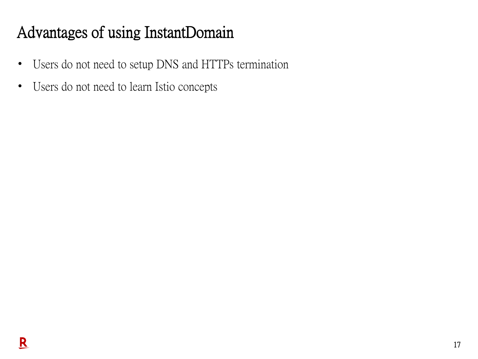# Advantages of using InstantDomain

- Users do not need to setup DNS and HTTPs termination
- Users do not need to learn Istio concepts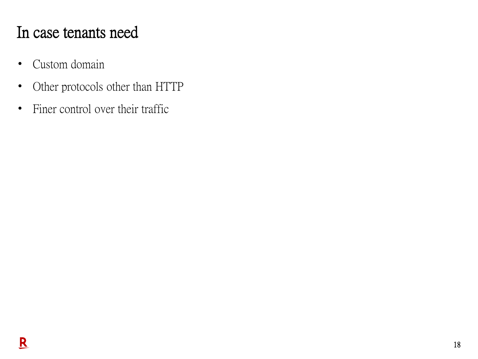#### In case tenants need

- Custom domain
- Other protocols other than HTTP
- Finer control over their traffic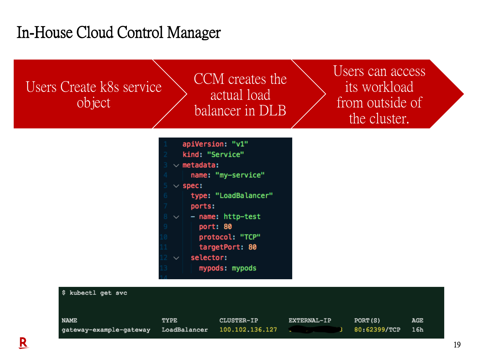#### In-House Cloud Control Manager

Users Create k8s service object

CCM creates the actual load balancer in DLB

Users can access its workload from outside of the cluster.



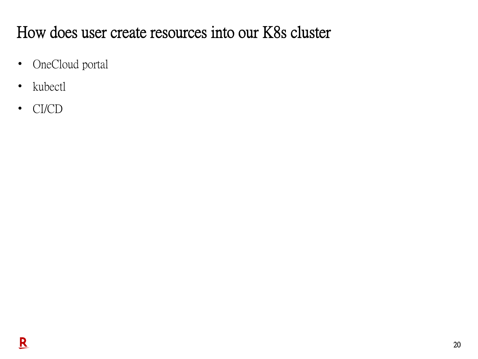# How does user create resources into our K8s cluster

- OneCloud portal
- kubectl
- CI/CD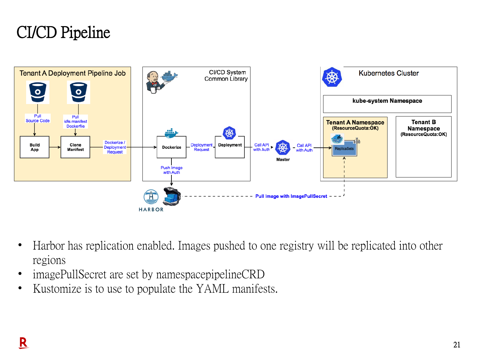### CI/CD Pipeline



- Harbor has replication enabled. Images pushed to one registry will be replicated into other regions
- imagePullSecret are set by namespacepipelineCRD
- Kustomize is to use to populate the YAML manifests.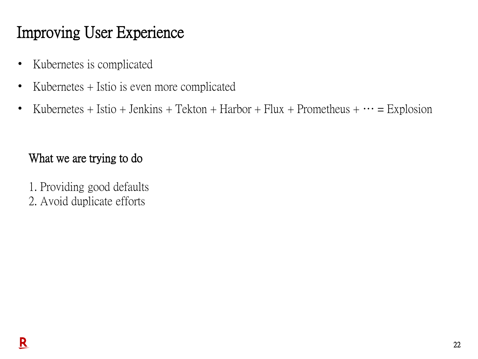# Improving User Experience

- Kubernetes is complicated
- Kubernetes + Istio is even more complicated
- Kubernetes + Istio + Jenkins + Tekton + Harbor + Flux + Prometheus +  $\cdots$  = Explosion

#### What we are trying to do

1. Providing good defaults 2. Avoid duplicate efforts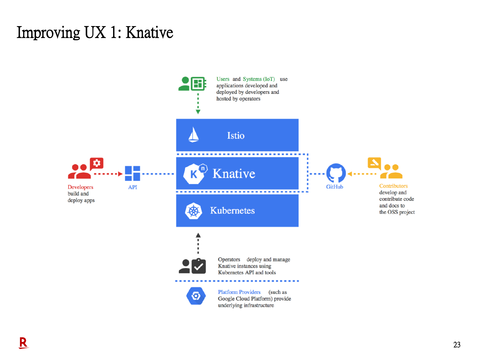#### Improving UX 1: Knative

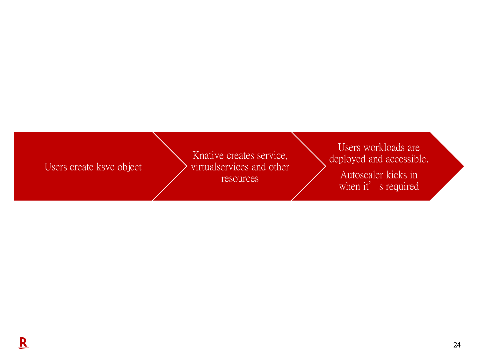#### Users create ksvc object

Knative creates service, virtualservices and other resources

Users workloads are deployed and accessible. Autoscaler kicks in

when it's required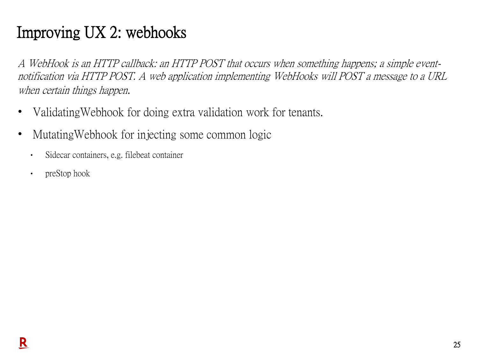# Improving UX 2: webhooks

A WebHook is an HTTP callback: an HTTP POST that occurs when something happens; a simple eventnotification via HTTP POST. A web application implementing WebHooks will POST a message to a URL when certain things happen.

- Validating Webhook for doing extra validation work for tenants.
- Mutating Webhook for injecting some common logic
	- Sidecar containers, e.g. filebeat container
	- preStop hook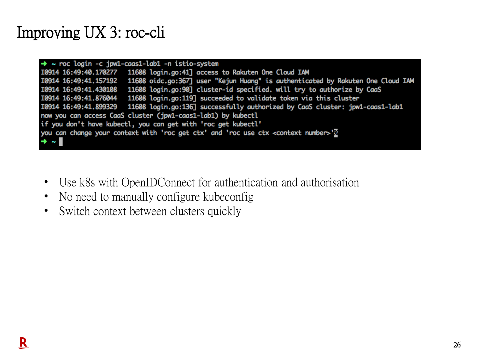### Improving UX 3: roc-cli

| $\rightarrow$ ~ roc login -c jpw1-caas1-lab1 -n istio-system                                    |                                                                                                       |  |  |
|-------------------------------------------------------------------------------------------------|-------------------------------------------------------------------------------------------------------|--|--|
|                                                                                                 | 10914 16:49:40.170277   11608 login.go:41] access to Rakuten One Cloud IAM                            |  |  |
|                                                                                                 | 10914 16:49:41.157192 11608 oidc.go:367] user "Kejun Huang" is authenticated by Rakuten One Cloud IAM |  |  |
| I0914 16:49:41.430108                                                                           | 11608 login.go:90] cluster-id specified. will try to authorize by CaaS                                |  |  |
| I0914 16:49:41.876044                                                                           | 11608 login.go:119] succeeded to validate token via this cluster                                      |  |  |
|                                                                                                 | 10914 16:49:41.899329 11608 login.go:136] successfully authorized by CaaS cluster: jpw1-caas1-lab1    |  |  |
| now you can access CaaS cluster (jpw1-caas1-lab1) by kubectl                                    |                                                                                                       |  |  |
| if you don't have kubectl, you can get with 'roc get kubectl'                                   |                                                                                                       |  |  |
| you can change your context with 'roc get ctx' and 'roc use ctx <context number="">'?</context> |                                                                                                       |  |  |
| $\rightarrow$ $\sim$ $\blacksquare$                                                             |                                                                                                       |  |  |

- Use k8s with OpenIDConnect for authentication and authorisation
- No need to manually configure kubeconfig
- Switch context between clusters quickly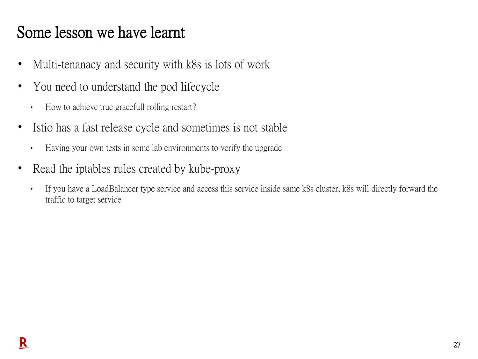#### Some lesson we have learnt

- Multi-tenanacy and security with k8s is lots of work
- You need to understand the pod lifecycle
	- How to achieve true gracefull rolling restart?
- Istio has a fast release cycle and sometimes is not stable
	- Having your own tests in some lab environments to verify the upgrade
- Read the iptables rules created by kube-proxy
	- If you have a LoadBalancer type service and access this service inside same k8s cluster, k8s will directly forward the traffic to target service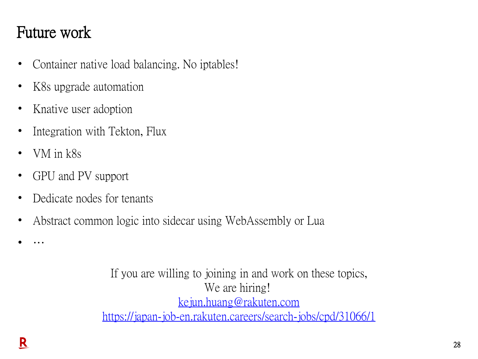### Future work

- Container native load balancing. No iptables!
- K8s upgrade automation
- Knative user adoption
- Integration with Tekton, Flux
- VM in k8s
- GPU and PV support
- Dedicate nodes for tenants
- Abstract common logic into sidecar using WebAssembly or Lua

If you are willing to joining in and work on these topics, We are hiring! [kejun.huang@rakuten.com](mailto:Kejun.huang@rakuten.com) <https://japan-job-en.rakuten.careers/search-jobs/cpd/31066/1>

• …